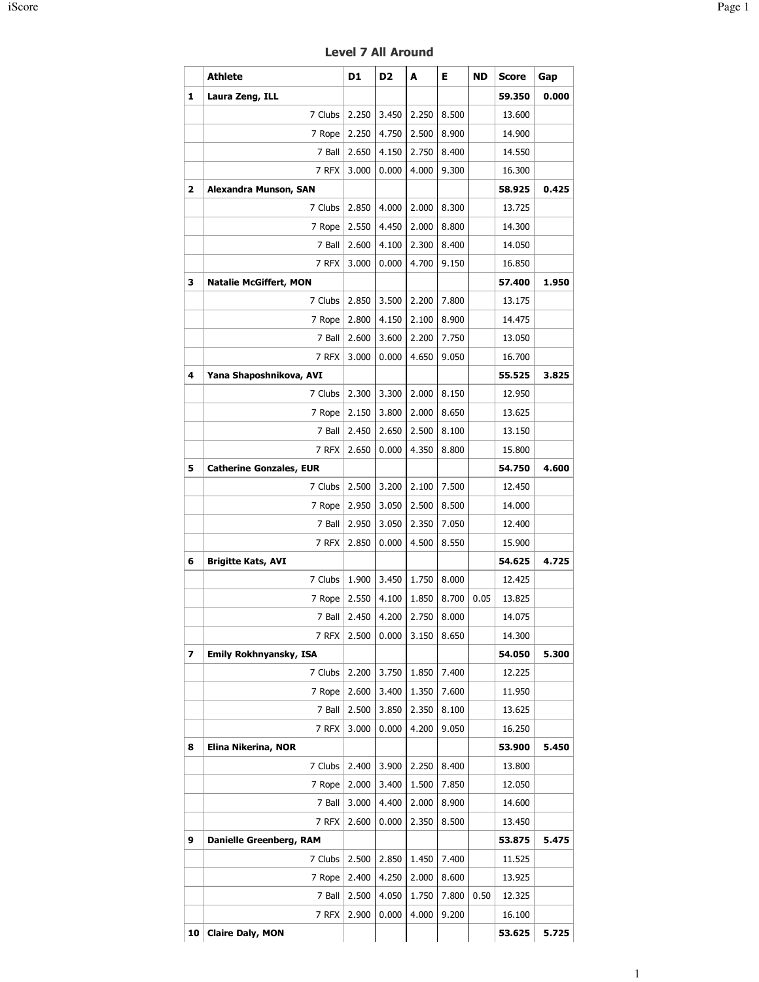|                | <b>Athlete</b>                       | D1           | D <sub>2</sub> | A     | Е     | <b>ND</b> | <b>Score</b>     | Gap   |
|----------------|--------------------------------------|--------------|----------------|-------|-------|-----------|------------------|-------|
| 1              | Laura Zeng, ILL                      |              |                |       |       |           | 59.350           | 0.000 |
|                | 7 Clubs                              | 2.250        | 3.450          | 2.250 | 8.500 |           | 13.600           |       |
|                | 7 Rope                               | 2.250        | 4.750          | 2.500 | 8.900 |           | 14.900           |       |
|                | 7 Ball                               | 2.650        | 4.150          | 2.750 | 8.400 |           | 14.550           |       |
|                | 7 RFX                                | 3.000        | 0.000          | 4.000 | 9.300 |           | 16.300           |       |
| $\overline{a}$ | Alexandra Munson, SAN                |              |                |       |       |           | 58.925           | 0.425 |
|                | 7 Clubs                              | 2.850        | 4.000          | 2.000 | 8.300 |           | 13.725           |       |
|                | 7 Rope                               | 2.550        | 4.450          | 2.000 | 8.800 |           | 14.300           |       |
|                | 7 Ball                               | 2.600        | 4.100          | 2.300 | 8.400 |           | 14.050           |       |
|                | 7 RFX                                | 3.000        | 0.000          | 4.700 | 9.150 |           | 16.850           |       |
| 3              | <b>Natalie McGiffert, MON</b>        |              |                |       |       |           | 57.400           | 1.950 |
|                | 7 Clubs                              | 2.850        | 3.500          | 2.200 | 7.800 |           | 13.175           |       |
|                | 7 Rope                               | 2.800        | 4.150          | 2.100 | 8.900 |           | 14.475           |       |
|                | 7 Ball                               | 2.600        | 3.600          | 2.200 | 7.750 |           | 13.050           |       |
|                | 7 RFX                                | 3.000        | 0.000          | 4.650 | 9.050 |           | 16.700           |       |
| 4              | Yana Shaposhnikova, AVI              |              |                |       |       |           | 55.525           | 3.825 |
|                | 7 Clubs                              | 2.300        | 3.300          | 2.000 | 8.150 |           | 12.950           |       |
|                | 7 Rope                               | 2.150        | 3.800          | 2.000 | 8.650 |           | 13.625           |       |
|                | 7 Ball                               | 2.450        | 2.650          | 2.500 | 8.100 |           | 13.150           |       |
|                | 7 RFX                                | 2.650        | 0.000          | 4.350 | 8.800 |           | 15.800           |       |
| 5              | <b>Catherine Gonzales, EUR</b>       |              |                |       |       |           | 54.750           | 4.600 |
|                | 7 Clubs                              | 2.500        | 3.200          | 2.100 | 7.500 |           | 12.450           |       |
|                | 7 Rope                               | 2.950        | 3.050          | 2.500 | 8.500 |           | 14.000           |       |
|                | 7 Ball                               | 2.950        | 3.050          | 2.350 | 7.050 |           | 12.400           |       |
|                | 7 RFX                                | 2.850        | 0.000          | 4.500 | 8.550 |           | 15.900           |       |
| 6              | <b>Brigitte Kats, AVI</b><br>7 Clubs | 1.900        | 3.450          | 1.750 | 8.000 |           | 54.625           | 4.725 |
|                | 7 Rope                               | 2.550        | 4.100          | 1.850 | 8.700 | 0.05      | 12.425<br>13.825 |       |
|                |                                      | 7 Ball 2.450 | 4.200          | 2.750 | 8.000 |           | 14.075           |       |
|                | 7 RFX                                | 2.500        | 0.000          | 3.150 | 8.650 |           | 14.300           |       |
| 7              | Emily Rokhnyansky, ISA               |              |                |       |       |           | 54.050           | 5.300 |
|                | 7 Clubs                              | 2.200        | 3.750          | 1.850 | 7.400 |           | 12.225           |       |
|                | 7 Rope                               | 2.600        | 3.400          | 1.350 | 7.600 |           | 11.950           |       |
|                | 7 Ball                               | 2.500        | 3.850          | 2.350 | 8.100 |           | 13.625           |       |
|                | 7 RFX                                | 3.000        | 0.000          | 4.200 | 9.050 |           | 16.250           |       |
| 8              | Elina Nikerina, NOR                  |              |                |       |       |           | 53.900           | 5.450 |
|                | 7 Clubs                              | 2.400        | 3.900          | 2.250 | 8.400 |           | 13.800           |       |
|                | 7 Rope                               | 2.000        | 3.400          | 1.500 | 7.850 |           | 12.050           |       |
|                | 7 Ball                               | 3.000        | 4.400          | 2.000 | 8.900 |           | 14.600           |       |
|                | 7 RFX                                | 2.600        | 0.000          | 2.350 | 8.500 |           | 13.450           |       |
| 9              | Danielle Greenberg, RAM              |              |                |       |       |           | 53.875           | 5.475 |
|                | 7 Clubs                              | 2.500        | 2.850          | 1.450 | 7.400 |           | 11.525           |       |
|                | 7 Rope                               | 2.400        | 4.250          | 2.000 | 8.600 |           | 13.925           |       |
|                | 7 Ball                               | 2.500        | 4.050          | 1.750 | 7.800 | 0.50      | 12.325           |       |
|                | 7 RFX                                | 2.900        | 0.000          | 4.000 | 9.200 |           | 16.100           |       |
| 10             | <b>Claire Daly, MON</b>              |              |                |       |       |           | 53.625           | 5.725 |

Level 7 All Around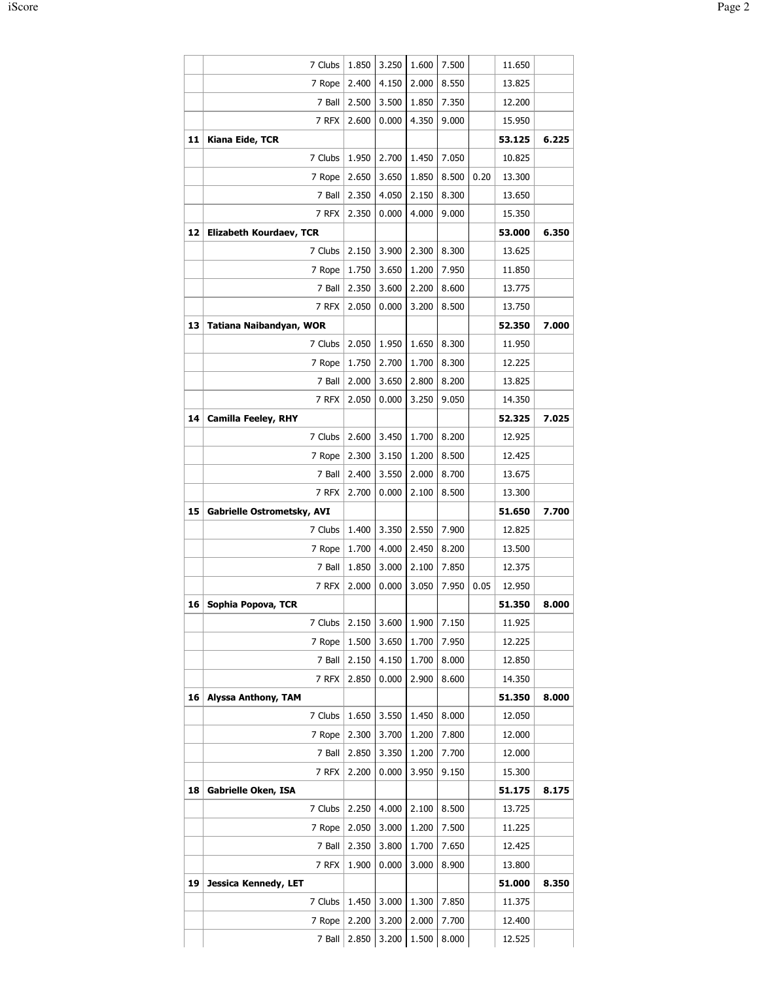|    | 7 Clubs                    | 1.850 | 3.250 | 1.600 | 7.500 |      | 11.650 |       |
|----|----------------------------|-------|-------|-------|-------|------|--------|-------|
|    | 7 Rope                     | 2.400 | 4.150 | 2.000 | 8.550 |      | 13.825 |       |
|    | 7 Ball                     | 2.500 | 3.500 | 1.850 | 7.350 |      | 12.200 |       |
|    | 7 RFX                      | 2.600 | 0.000 | 4.350 | 9.000 |      | 15.950 |       |
| 11 | Kiana Eide, TCR            |       |       |       |       |      | 53.125 | 6.225 |
|    | 7 Clubs                    | 1.950 | 2.700 | 1.450 | 7.050 |      | 10.825 |       |
|    | 7 Rope                     | 2.650 | 3.650 | 1.850 | 8.500 | 0.20 | 13.300 |       |
|    | 7 Ball                     | 2.350 | 4.050 | 2.150 | 8.300 |      | 13.650 |       |
|    | 7 RFX                      | 2.350 | 0.000 | 4.000 | 9.000 |      | 15.350 |       |
| 12 | Elizabeth Kourdaev, TCR    |       |       |       |       |      | 53.000 | 6.350 |
|    | 7 Clubs                    | 2.150 | 3.900 | 2.300 | 8.300 |      | 13.625 |       |
|    | 7 Rope                     | 1.750 | 3.650 | 1.200 | 7.950 |      | 11.850 |       |
|    | 7 Ball                     | 2.350 | 3.600 | 2.200 | 8.600 |      | 13.775 |       |
|    | 7 RFX                      | 2.050 | 0.000 | 3.200 | 8.500 |      | 13.750 |       |
| 13 | Tatiana Naibandyan, WOR    |       |       |       |       |      | 52.350 | 7.000 |
|    | 7 Clubs                    | 2.050 | 1.950 | 1.650 | 8.300 |      | 11.950 |       |
|    | 7 Rope                     | 1.750 | 2.700 | 1.700 | 8.300 |      | 12.225 |       |
|    | 7 Ball                     | 2.000 | 3.650 | 2.800 | 8.200 |      | 13.825 |       |
|    | 7 RFX                      | 2.050 | 0.000 | 3.250 | 9.050 |      | 14.350 |       |
| 14 | <b>Camilla Feeley, RHY</b> |       |       |       |       |      | 52.325 | 7.025 |
|    | 7 Clubs                    | 2.600 | 3.450 | 1.700 | 8.200 |      | 12.925 |       |
|    | 7 Rope                     | 2.300 | 3.150 | 1.200 | 8.500 |      | 12.425 |       |
|    | 7 Ball                     | 2.400 | 3.550 | 2.000 | 8.700 |      | 13.675 |       |
|    | 7 RFX                      | 2.700 | 0.000 | 2.100 | 8.500 |      | 13.300 |       |
| 15 | Gabrielle Ostrometsky, AVI |       |       |       |       |      | 51.650 | 7.700 |
|    | 7 Clubs                    | 1.400 | 3.350 | 2.550 | 7.900 |      | 12.825 |       |
|    | 7 Rope                     | 1.700 | 4.000 | 2.450 | 8.200 |      | 13.500 |       |
|    | 7 Ball                     | 1.850 | 3.000 | 2.100 | 7.850 |      | 12.375 |       |
|    | 7 RFX                      | 2.000 | 0.000 | 3.050 | 7.950 | 0.05 | 12.950 |       |
| 16 | Sophia Popova, TCR         |       |       |       |       |      | 51.350 | 8.000 |
|    | 7 Clubs                    | 2.150 | 3.600 | 1.900 | 7.150 |      | 11.925 |       |
|    | 7 Rope                     | 1.500 | 3.650 | 1.700 | 7.950 |      | 12.225 |       |
|    | 7 Ball                     | 2.150 | 4.150 | 1.700 | 8.000 |      | 12.850 |       |
|    | 7 RFX                      | 2.850 | 0.000 | 2.900 | 8.600 |      | 14.350 |       |
| 16 | <b>Alyssa Anthony, TAM</b> |       |       |       |       |      | 51.350 | 8.000 |
|    | 7 Clubs                    | 1.650 | 3.550 | 1.450 | 8.000 |      | 12.050 |       |
|    | 7 Rope                     | 2.300 | 3.700 | 1.200 | 7.800 |      | 12.000 |       |
|    | 7 Ball                     | 2.850 | 3.350 | 1.200 | 7.700 |      | 12.000 |       |
|    | 7 RFX                      | 2.200 | 0.000 | 3.950 | 9.150 |      | 15.300 |       |
| 18 | <b>Gabrielle Oken, ISA</b> |       |       |       |       |      | 51.175 | 8.175 |
|    | 7 Clubs                    | 2.250 | 4.000 | 2.100 | 8.500 |      | 13.725 |       |
|    | 7 Rope                     | 2.050 | 3.000 | 1.200 | 7.500 |      | 11.225 |       |
|    | 7 Ball                     | 2.350 | 3.800 | 1.700 | 7.650 |      | 12.425 |       |
|    |                            | 1.900 | 0.000 | 3.000 | 8.900 |      | 13.800 |       |
|    | 7 RFX                      |       |       |       |       |      |        |       |
| 19 | Jessica Kennedy, LET       |       |       |       |       |      | 51.000 | 8.350 |
|    | 7 Clubs                    | 1.450 | 3.000 | 1.300 | 7.850 |      | 11.375 |       |
|    | 7 Rope                     | 2.200 | 3.200 | 2.000 | 7.700 |      | 12.400 |       |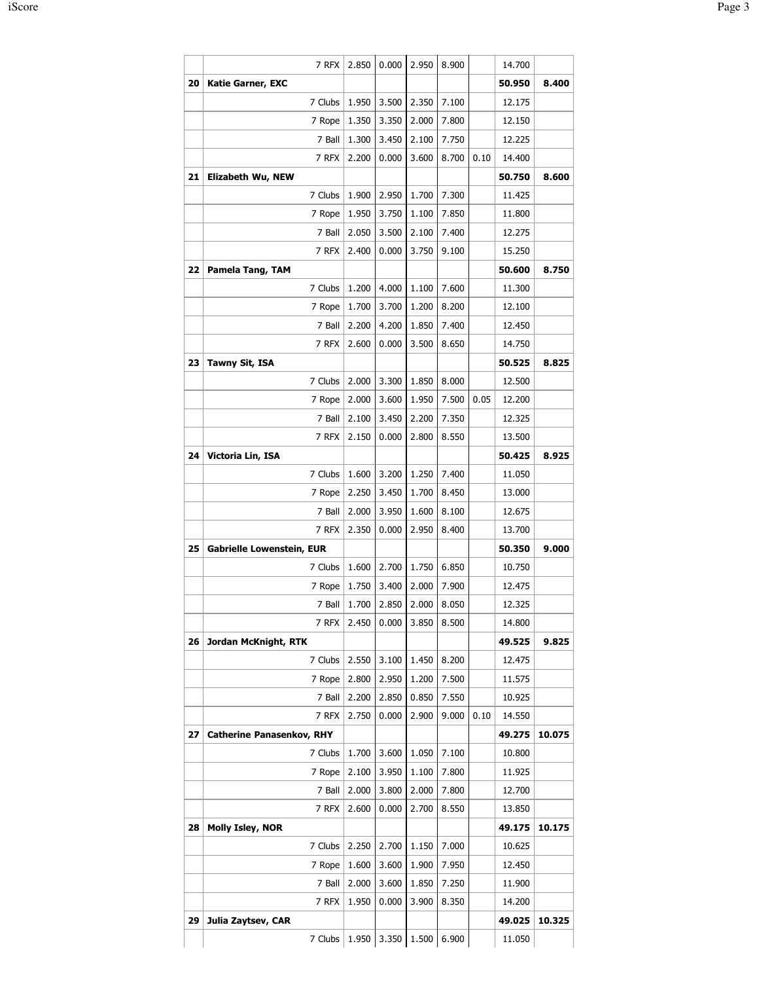|    | 7 RFX                            | 2.850 | 0.000 | 2.950             | 8.900 |      | 14.700 |        |
|----|----------------------------------|-------|-------|-------------------|-------|------|--------|--------|
| 20 | <b>Katie Garner, EXC</b>         |       |       |                   |       |      | 50.950 | 8.400  |
|    | 7 Clubs                          | 1.950 | 3.500 | 2.350             | 7.100 |      | 12.175 |        |
|    | 7 Rope                           | 1.350 | 3.350 | 2.000             | 7.800 |      | 12.150 |        |
|    | 7 Ball                           | 1.300 | 3.450 | 2.100             | 7.750 |      | 12.225 |        |
|    | 7 RFX                            | 2.200 | 0.000 | 3.600             | 8.700 | 0.10 | 14.400 |        |
| 21 | Elizabeth Wu, NEW                |       |       |                   |       |      | 50.750 | 8.600  |
|    | 7 Clubs                          | 1.900 | 2.950 | 1.700             | 7.300 |      | 11.425 |        |
|    | 7 Rope                           | 1.950 | 3.750 | 1.100             | 7.850 |      | 11.800 |        |
|    | 7 Ball                           | 2.050 | 3.500 | 2.100             | 7.400 |      | 12.275 |        |
|    | 7 RFX                            | 2.400 | 0.000 | 3.750             | 9.100 |      | 15.250 |        |
| 22 | Pamela Tang, TAM                 |       |       |                   |       |      | 50.600 | 8.750  |
|    | 7 Clubs                          | 1.200 | 4.000 | 1.100             | 7.600 |      | 11.300 |        |
|    | 7 Rope                           | 1.700 | 3.700 | 1.200             | 8.200 |      | 12.100 |        |
|    | 7 Ball                           | 2.200 | 4.200 | 1.850             | 7.400 |      | 12.450 |        |
|    | 7 RFX                            | 2.600 | 0.000 | 3.500             | 8.650 |      | 14.750 |        |
| 23 | Tawny Sit, ISA                   |       |       |                   |       |      | 50.525 | 8.825  |
|    | 7 Clubs                          | 2.000 | 3.300 | 1.850             | 8.000 |      | 12.500 |        |
|    | 7 Rope                           | 2.000 | 3.600 | 1.950             | 7.500 | 0.05 | 12.200 |        |
|    | 7 Ball                           | 2.100 | 3.450 | 2.200             | 7.350 |      | 12.325 |        |
|    | 7 RFX                            | 2.150 | 0.000 | 2.800             | 8.550 |      | 13.500 |        |
| 24 | Victoria Lin, ISA                |       |       |                   |       |      | 50.425 | 8.925  |
|    | 7 Clubs                          | 1.600 | 3.200 | 1.250             | 7.400 |      | 11.050 |        |
|    | 7 Rope                           | 2.250 | 3.450 | 1.700             | 8.450 |      | 13.000 |        |
|    | 7 Ball                           | 2.000 | 3.950 | 1.600             | 8.100 |      | 12.675 |        |
|    | 7 RFX                            | 2.350 | 0.000 | 2.950             | 8.400 |      | 13.700 |        |
| 25 | <b>Gabrielle Lowenstein, EUR</b> |       |       |                   |       |      | 50.350 | 9.000  |
|    | 7 Clubs                          | 1.600 | 2.700 | 1.750             | 6.850 |      | 10.750 |        |
|    | 7 Rope                           | 1.750 | 3.400 | 2.000             | 7.900 |      | 12.475 |        |
|    | 7 Ball                           | 1.700 | 2.850 | 2.000             | 8.050 |      | 12.325 |        |
|    | 7 RFX                            | 2.450 | 0.000 | 3.850             | 8.500 |      | 14.800 |        |
| 26 | Jordan McKnight, RTK             |       |       |                   |       |      | 49.525 | 9.825  |
|    | 7 Clubs                          | 2.550 | 3.100 | 1.450             | 8.200 |      | 12.475 |        |
|    | 7 Rope                           | 2.800 | 2.950 | 1.200             | 7.500 |      | 11.575 |        |
|    | 7 Ball                           | 2.200 | 2.850 | 0.850             | 7.550 |      | 10.925 |        |
|    | 7 RFX                            | 2.750 | 0.000 | 2.900             | 9.000 | 0.10 | 14.550 |        |
| 27 | <b>Catherine Panasenkov, RHY</b> |       |       |                   |       |      | 49.275 | 10.075 |
|    | 7 Clubs                          | 1.700 | 3.600 | 1.050             | 7.100 |      | 10.800 |        |
|    | 7 Rope                           | 2.100 | 3.950 | 1.100             | 7.800 |      | 11.925 |        |
|    | 7 Ball                           | 2.000 | 3.800 | 2.000             | 7.800 |      | 12.700 |        |
|    | 7 RFX                            | 2.600 | 0.000 | 2.700             | 8.550 |      | 13.850 |        |
| 28 | Molly Isley, NOR                 |       |       |                   |       |      | 49.175 | 10.175 |
|    | 7 Clubs                          | 2.250 | 2.700 | 1.150             | 7.000 |      | 10.625 |        |
|    | 7 Rope                           | 1.600 | 3.600 | 1.900             | 7.950 |      | 12.450 |        |
|    | 7 Ball                           | 2.000 | 3.600 | 1.850             | 7.250 |      | 11.900 |        |
|    | 7 RFX                            | 1.950 | 0.000 | 3.900             | 8.350 |      | 14.200 |        |
| 29 | Julia Zaytsev, CAR               |       |       |                   |       |      | 49.025 | 10.325 |
|    | 7 Clubs                          |       |       | 1.950 3.350 1.500 | 6.900 |      | 11.050 |        |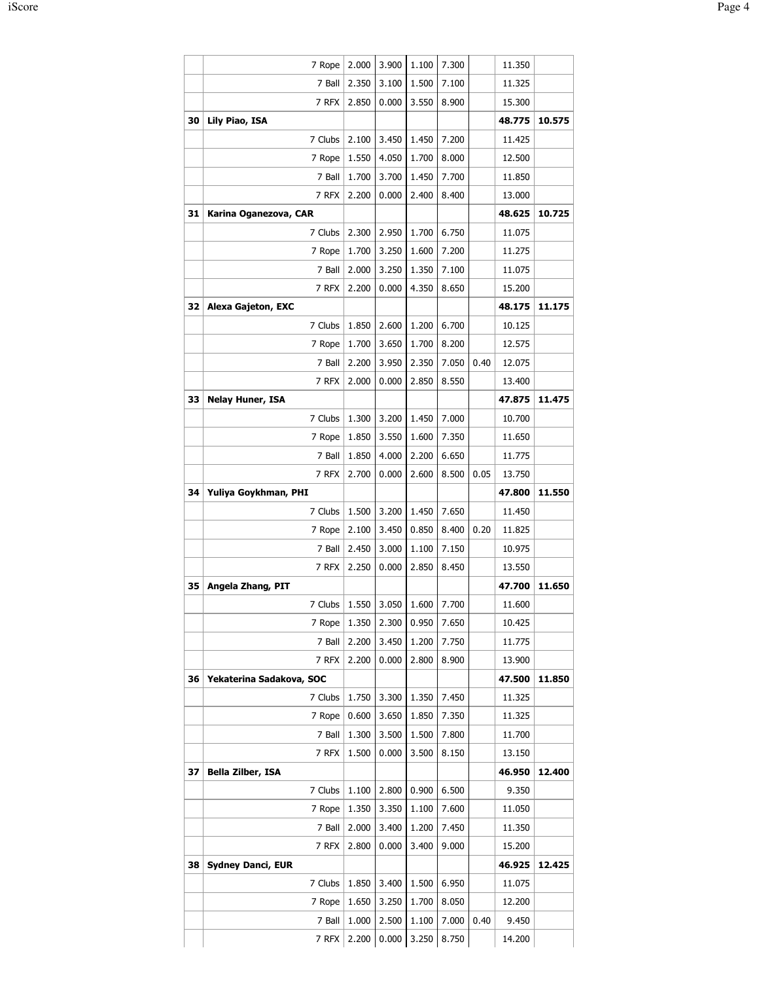|    | 7 Rope                          | 2.000 | 3.900 | 1.100 | 7.300 |      | 11.350 |        |
|----|---------------------------------|-------|-------|-------|-------|------|--------|--------|
|    | 7 Ball                          | 2.350 | 3.100 | 1.500 | 7.100 |      | 11.325 |        |
|    | 7 RFX                           | 2.850 | 0.000 | 3.550 | 8.900 |      | 15.300 |        |
| 30 | Lily Piao, ISA                  |       |       |       |       |      | 48.775 | 10.575 |
|    | 7 Clubs                         | 2.100 | 3.450 | 1.450 | 7.200 |      | 11.425 |        |
|    | 7 Rope                          | 1.550 | 4.050 | 1.700 | 8.000 |      | 12.500 |        |
|    | 7 Ball                          | 1.700 | 3.700 | 1.450 | 7.700 |      | 11.850 |        |
|    | 7 RFX                           | 2.200 | 0.000 | 2.400 | 8.400 |      | 13.000 |        |
| 31 | Karina Oganezova, CAR           |       |       |       |       |      | 48.625 | 10.725 |
|    | 7 Clubs                         | 2.300 | 2.950 | 1.700 | 6.750 |      | 11.075 |        |
|    | 7 Rope                          | 1.700 | 3.250 | 1.600 | 7.200 |      | 11.275 |        |
|    | 7 Ball                          | 2.000 | 3.250 | 1.350 | 7.100 |      | 11.075 |        |
|    | 7 RFX                           | 2.200 | 0.000 | 4.350 | 8.650 |      | 15.200 |        |
| 32 | <b>Alexa Gajeton, EXC</b>       |       |       |       |       |      | 48.175 | 11.175 |
|    | 7 Clubs                         | 1.850 | 2.600 | 1.200 | 6.700 |      | 10.125 |        |
|    | 7 Rope                          | 1.700 | 3.650 | 1.700 | 8.200 |      | 12.575 |        |
|    | 7 Ball                          | 2.200 | 3.950 | 2.350 | 7.050 | 0.40 | 12.075 |        |
|    | 7 RFX                           | 2.000 | 0.000 | 2.850 | 8.550 |      | 13.400 |        |
| 33 | <b>Nelay Huner, ISA</b>         |       |       |       |       |      | 47.875 | 11.475 |
|    | 7 Clubs                         | 1.300 | 3.200 | 1.450 | 7.000 |      | 10.700 |        |
|    | 7 Rope                          | 1.850 | 3.550 | 1.600 | 7.350 |      | 11.650 |        |
|    | 7 Ball                          | 1.850 | 4.000 | 2.200 | 6.650 |      | 11.775 |        |
|    | 7 RFX                           | 2.700 | 0.000 | 2.600 | 8.500 | 0.05 | 13.750 |        |
| 34 | Yuliya Goykhman, PHI            |       |       |       |       |      | 47.800 | 11.550 |
|    | 7 Clubs                         | 1.500 | 3.200 | 1.450 | 7.650 |      | 11.450 |        |
|    | 7 Rope                          | 2.100 | 3.450 | 0.850 | 8.400 | 0.20 | 11.825 |        |
|    | 7 Ball                          | 2.450 | 3.000 | 1.100 | 7.150 |      | 10.975 |        |
|    | 7 RFX                           | 2.250 | 0.000 | 2.850 | 8.450 |      | 13.550 |        |
| 35 | Angela Zhang, PIT               |       |       |       |       |      | 47.700 | 11.650 |
|    | 7 Clubs   1.550   3.050   1.600 |       |       |       | 7.700 |      | 11.600 |        |
|    | 7 Rope                          | 1.350 | 2.300 | 0.950 | 7.650 |      | 10.425 |        |
|    | 7 Ball                          | 2.200 | 3.450 | 1.200 | 7.750 |      | 11.775 |        |
|    | 7 RFX                           | 2.200 | 0.000 | 2.800 | 8.900 |      | 13.900 |        |
| 36 | Yekaterina Sadakova, SOC        |       |       |       |       |      | 47.500 | 11.850 |
|    | 7 Clubs                         | 1.750 | 3.300 | 1.350 | 7.450 |      | 11.325 |        |
|    | 7 Rope                          | 0.600 | 3.650 | 1.850 | 7.350 |      | 11.325 |        |
|    | 7 Ball                          | 1.300 | 3.500 | 1.500 | 7.800 |      | 11.700 |        |
|    | 7 RFX                           | 1.500 | 0.000 | 3.500 | 8.150 |      | 13.150 |        |
| 37 | <b>Bella Zilber, ISA</b>        |       |       |       |       |      | 46.950 | 12.400 |
|    | 7 Clubs                         | 1.100 | 2.800 | 0.900 | 6.500 |      | 9.350  |        |
|    | 7 Rope                          | 1.350 | 3.350 | 1.100 | 7.600 |      | 11.050 |        |
|    | 7 Ball                          | 2.000 | 3.400 | 1.200 | 7.450 |      | 11.350 |        |
|    | 7 RFX                           | 2.800 | 0.000 | 3.400 | 9.000 |      | 15.200 |        |
| 38 | <b>Sydney Danci, EUR</b>        |       |       |       |       |      | 46.925 | 12.425 |
|    | 7 Clubs                         | 1.850 | 3.400 | 1.500 | 6.950 |      | 11.075 |        |
|    | 7 Rope                          | 1.650 | 3.250 | 1.700 | 8.050 |      | 12.200 |        |
|    | 7 Ball                          | 1.000 | 2.500 | 1.100 | 7.000 | 0.40 | 9.450  |        |
|    | 7 RFX                           | 2.200 | 0.000 | 3.250 | 8.750 |      | 14.200 |        |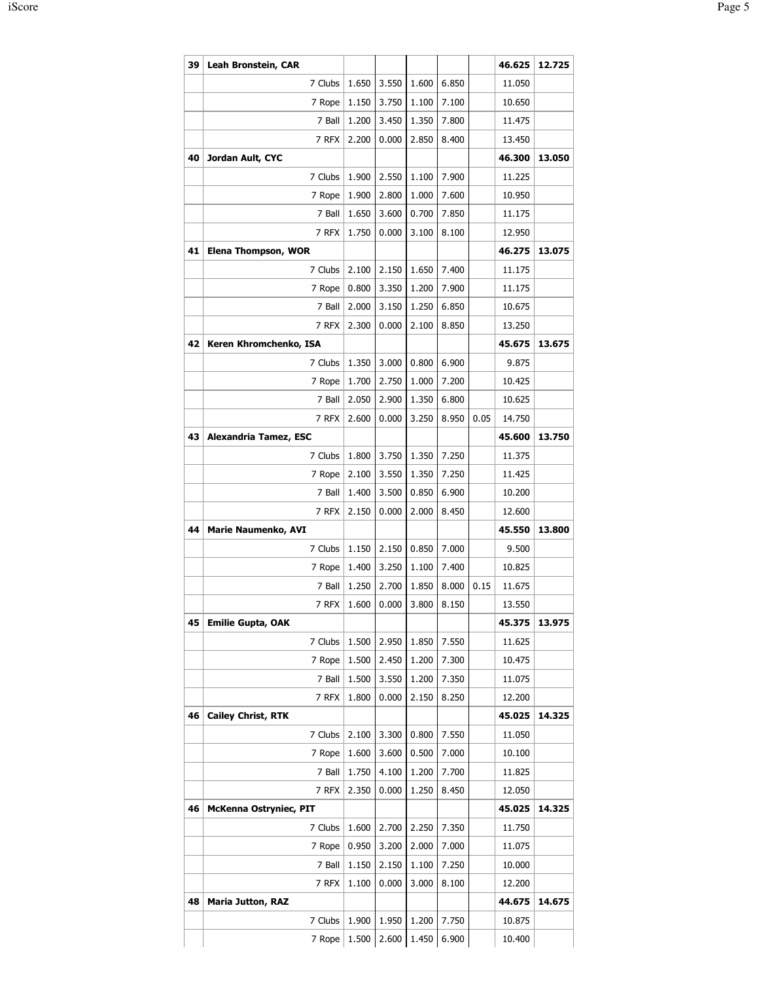| 39 | Leah Bronstein, CAR        |       |       |       |       |      | 46.625 | 12.725 |
|----|----------------------------|-------|-------|-------|-------|------|--------|--------|
|    | 7 Clubs                    | 1.650 | 3.550 | 1.600 | 6.850 |      | 11.050 |        |
|    | 7 Rope                     | 1.150 | 3.750 | 1.100 | 7.100 |      | 10.650 |        |
|    | 7 Ball                     | 1.200 | 3.450 | 1.350 | 7.800 |      | 11.475 |        |
|    | 7 RFX                      | 2.200 | 0.000 | 2.850 | 8.400 |      | 13.450 |        |
| 40 | Jordan Ault, CYC           |       |       |       |       |      | 46.300 | 13.050 |
|    | 7 Clubs                    | 1.900 | 2.550 | 1.100 | 7.900 |      | 11.225 |        |
|    | 7 Rope                     | 1.900 | 2.800 | 1.000 | 7.600 |      | 10.950 |        |
|    | 7 Ball                     | 1.650 | 3.600 | 0.700 | 7.850 |      | 11.175 |        |
|    | 7 RFX                      | 1.750 | 0.000 | 3.100 | 8.100 |      | 12.950 |        |
| 41 | Elena Thompson, WOR        |       |       |       |       |      | 46.275 | 13.075 |
|    | 7 Clubs                    | 2.100 | 2.150 | 1.650 | 7.400 |      | 11.175 |        |
|    | 7 Rope                     | 0.800 | 3.350 | 1.200 | 7.900 |      | 11.175 |        |
|    | 7 Ball                     | 2.000 | 3.150 | 1.250 | 6.850 |      | 10.675 |        |
|    | 7 RFX                      | 2.300 | 0.000 | 2.100 | 8.850 |      | 13.250 |        |
| 42 | Keren Khromchenko, ISA     |       |       |       |       |      | 45.675 | 13.675 |
|    | 7 Clubs                    | 1.350 | 3.000 | 0.800 | 6.900 |      | 9.875  |        |
|    | 7 Rope                     | 1.700 | 2.750 | 1.000 | 7.200 |      | 10.425 |        |
|    | 7 Ball                     | 2.050 | 2.900 | 1.350 | 6.800 |      | 10.625 |        |
|    | 7 RFX                      | 2.600 | 0.000 | 3.250 | 8.950 | 0.05 | 14.750 |        |
| 43 | Alexandria Tamez, ESC      |       |       |       |       |      | 45.600 | 13.750 |
|    | 7 Clubs                    | 1.800 | 3.750 | 1.350 | 7.250 |      | 11.375 |        |
|    | 7 Rope                     | 2.100 | 3.550 | 1.350 | 7.250 |      | 11.425 |        |
|    | 7 Ball                     | 1.400 | 3.500 | 0.850 | 6.900 |      | 10.200 |        |
|    | 7 RFX                      | 2.150 | 0.000 | 2.000 | 8.450 |      | 12.600 |        |
| 44 | <b>Marie Naumenko, AVI</b> |       |       |       |       |      | 45.550 | 13.800 |
|    | 7 Clubs                    | 1.150 | 2.150 | 0.850 | 7.000 |      | 9.500  |        |
|    | 7 Rope                     | 1.400 | 3.250 | 1.100 | 7.400 |      | 10.825 |        |
|    | 7 Ball                     | 1.250 | 2.700 | 1.850 | 8.000 | 0.15 | 11.675 |        |
|    | $7$ RFX                    | 1.600 | 0.000 | 3.800 | 8.150 |      | 13.550 |        |
| 45 | <b>Emilie Gupta, OAK</b>   |       |       |       |       |      | 45.375 | 13.975 |
|    | 7 Clubs                    | 1.500 | 2.950 | 1.850 | 7.550 |      | 11.625 |        |
|    | 7 Rope                     | 1.500 | 2.450 | 1.200 | 7.300 |      | 10.475 |        |
|    | 7 Ball                     | 1.500 | 3.550 | 1.200 | 7.350 |      | 11.075 |        |
|    | 7 RFX                      | 1.800 | 0.000 | 2.150 | 8.250 |      | 12.200 |        |
| 46 | <b>Cailey Christ, RTK</b>  |       |       |       |       |      | 45.025 | 14.325 |
|    | 7 Clubs                    | 2.100 | 3.300 | 0.800 | 7.550 |      | 11.050 |        |
|    | 7 Rope                     | 1.600 | 3.600 | 0.500 | 7.000 |      | 10.100 |        |
|    | 7 Ball                     | 1.750 | 4.100 | 1.200 | 7.700 |      | 11.825 |        |
|    | 7 RFX                      | 2.350 | 0.000 | 1.250 | 8.450 |      | 12.050 |        |
| 46 | McKenna Ostryniec, PIT     |       |       |       |       |      | 45.025 | 14.325 |
|    | 7 Clubs                    | 1.600 | 2.700 | 2.250 | 7.350 |      | 11.750 |        |
|    | 7 Rope                     | 0.950 | 3.200 | 2.000 | 7.000 |      | 11.075 |        |
|    | 7 Ball                     | 1.150 | 2.150 | 1.100 | 7.250 |      | 10.000 |        |
|    | 7 RFX                      | 1.100 | 0.000 | 3.000 | 8.100 |      | 12.200 |        |
|    |                            |       |       |       |       |      | 44.675 | 14.675 |
|    | <b>Maria Jutton, RAZ</b>   |       |       |       |       |      |        |        |
| 48 | 7 Clubs                    | 1.900 | 1.950 | 1.200 | 7.750 |      | 10.875 |        |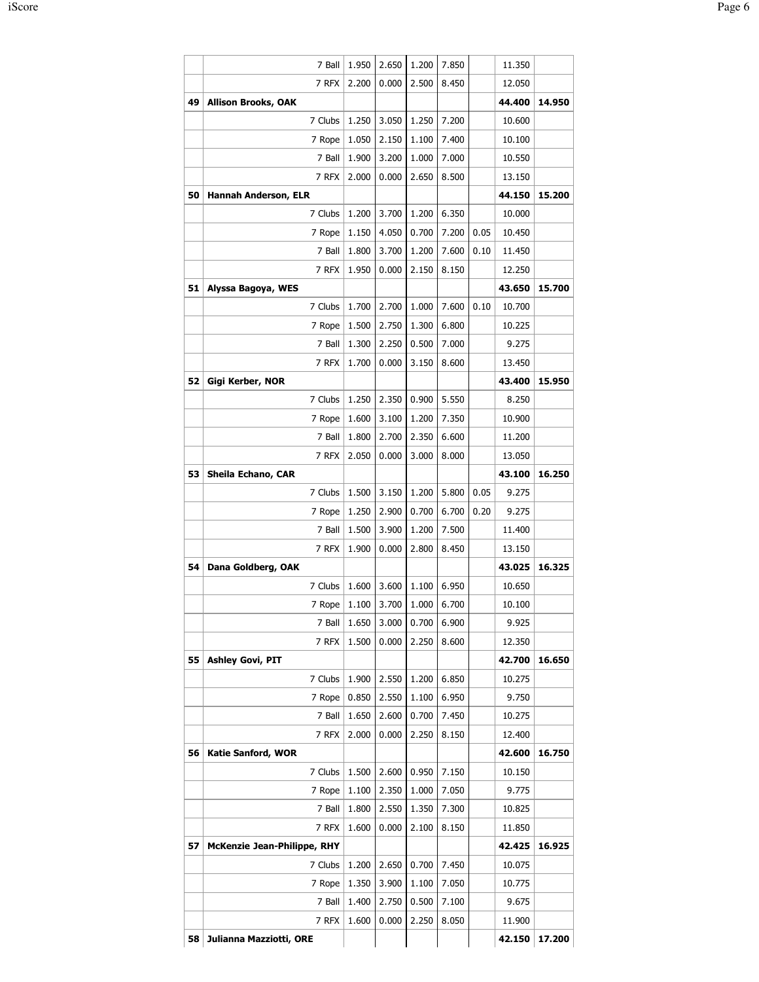|    | 7 Ball                      | 1.950 | 2.650 | 1.200 | 7.850 |      | 11.350 |        |
|----|-----------------------------|-------|-------|-------|-------|------|--------|--------|
|    | 7 RFX                       | 2.200 | 0.000 | 2.500 | 8.450 |      | 12.050 |        |
| 49 | <b>Allison Brooks, OAK</b>  |       |       |       |       |      | 44.400 | 14.950 |
|    | 7 Clubs                     | 1.250 | 3.050 | 1.250 | 7.200 |      | 10.600 |        |
|    | 7 Rope                      | 1.050 | 2.150 | 1.100 | 7.400 |      | 10.100 |        |
|    | 7 Ball                      | 1.900 | 3.200 | 1.000 | 7.000 |      | 10.550 |        |
|    | 7 RFX                       | 2.000 | 0.000 | 2.650 | 8.500 |      | 13.150 |        |
| 50 | <b>Hannah Anderson, ELR</b> |       |       |       |       |      | 44.150 | 15.200 |
|    | 7 Clubs                     | 1.200 | 3.700 | 1.200 | 6.350 |      | 10.000 |        |
|    | 7 Rope                      | 1.150 | 4.050 | 0.700 | 7.200 | 0.05 | 10.450 |        |
|    | 7 Ball                      | 1.800 | 3.700 | 1.200 | 7.600 | 0.10 | 11.450 |        |
|    | 7 RFX                       | 1.950 | 0.000 | 2.150 | 8.150 |      | 12.250 |        |
| 51 | Alyssa Bagoya, WES          |       |       |       |       |      | 43.650 | 15.700 |
|    | 7 Clubs                     | 1.700 | 2.700 | 1.000 | 7.600 | 0.10 | 10.700 |        |
|    | 7 Rope                      | 1.500 | 2.750 | 1.300 | 6.800 |      | 10.225 |        |
|    | 7 Ball                      | 1.300 | 2.250 | 0.500 | 7.000 |      | 9.275  |        |
|    | 7 RFX                       | 1.700 | 0.000 | 3.150 | 8.600 |      | 13.450 |        |
| 52 | Gigi Kerber, NOR            |       |       |       |       |      | 43.400 | 15.950 |
|    | 7 Clubs                     | 1.250 | 2.350 | 0.900 | 5.550 |      | 8.250  |        |
|    | 7 Rope                      | 1.600 | 3.100 | 1.200 | 7.350 |      | 10.900 |        |
|    | 7 Ball                      | 1.800 | 2.700 | 2.350 | 6.600 |      | 11.200 |        |
|    | 7 RFX                       | 2.050 | 0.000 | 3.000 | 8.000 |      | 13.050 |        |
| 53 | Sheila Echano, CAR          |       |       |       |       |      | 43.100 | 16.250 |
|    | 7 Clubs                     | 1.500 | 3.150 | 1.200 | 5.800 | 0.05 | 9.275  |        |
|    | 7 Rope                      | 1.250 | 2.900 | 0.700 | 6.700 | 0.20 | 9.275  |        |
|    | 7 Ball                      | 1.500 | 3.900 | 1.200 | 7.500 |      | 11.400 |        |
|    | 7 RFX                       | 1.900 | 0.000 | 2.800 | 8.450 |      | 13.150 |        |
| 54 | Dana Goldberg, OAK          |       |       |       |       |      | 43.025 | 16.325 |
|    | 7 Clubs                     | 1.600 | 3.600 | 1.100 | 6.950 |      | 10.650 |        |
|    | 7 Rope                      | 1.100 | 3.700 | 1.000 | 6.700 |      | 10.100 |        |
|    | 7 Ball                      | 1.650 | 3.000 | 0.700 | 6.900 |      | 9.925  |        |
|    | 7 RFX                       | 1.500 | 0.000 | 2.250 | 8.600 |      | 12.350 |        |
| 55 | <b>Ashley Govi, PIT</b>     |       |       |       |       |      |        |        |
|    |                             |       |       |       |       |      | 42.700 | 16.650 |
|    | 7 Clubs                     | 1.900 | 2.550 | 1.200 | 6.850 |      | 10.275 |        |
|    | 7 Rope                      | 0.850 | 2.550 | 1.100 | 6.950 |      | 9.750  |        |
|    | 7 Ball                      | 1.650 | 2.600 | 0.700 | 7.450 |      | 10.275 |        |
|    | 7 RFX                       | 2.000 | 0.000 | 2.250 | 8.150 |      | 12.400 |        |
| 56 | <b>Katie Sanford, WOR</b>   |       |       |       |       |      | 42.600 | 16.750 |
|    | 7 Clubs                     | 1.500 | 2.600 | 0.950 | 7.150 |      | 10.150 |        |
|    | 7 Rope                      | 1.100 | 2.350 | 1.000 | 7.050 |      | 9.775  |        |
|    | 7 Ball                      | 1.800 | 2.550 | 1.350 | 7.300 |      | 10.825 |        |
|    | 7 RFX                       | 1.600 | 0.000 | 2.100 | 8.150 |      | 11.850 |        |
| 57 | McKenzie Jean-Philippe, RHY |       |       |       |       |      | 42.425 | 16.925 |
|    | 7 Clubs                     | 1.200 | 2.650 | 0.700 | 7.450 |      | 10.075 |        |
|    | 7 Rope                      | 1.350 | 3.900 | 1.100 | 7.050 |      | 10.775 |        |
|    | 7 Ball                      | 1.400 | 2.750 | 0.500 | 7.100 |      | 9.675  |        |
|    | 7 RFX                       | 1.600 | 0.000 | 2.250 | 8.050 |      | 11.900 |        |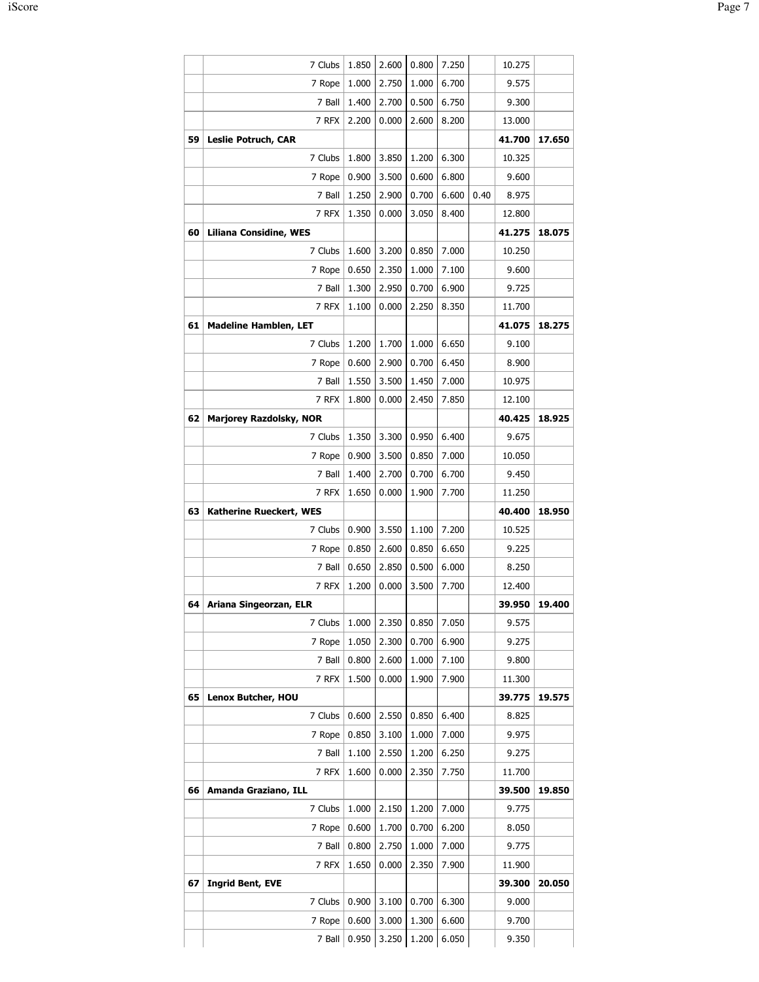|    | 7 Clubs                        | 1.850 | 2.600 | 0.800 | 7.250 |      | 10.275 |        |
|----|--------------------------------|-------|-------|-------|-------|------|--------|--------|
|    | 7 Rope                         | 1.000 | 2.750 | 1.000 | 6.700 |      | 9.575  |        |
|    | 7 Ball                         | 1.400 | 2.700 | 0.500 | 6.750 |      | 9.300  |        |
|    | 7 RFX                          | 2.200 | 0.000 | 2.600 | 8.200 |      | 13.000 |        |
| 59 | <b>Leslie Potruch, CAR</b>     |       |       |       |       |      | 41.700 | 17.650 |
|    | 7 Clubs                        | 1.800 | 3.850 | 1.200 | 6.300 |      | 10.325 |        |
|    | 7 Rope                         | 0.900 | 3.500 | 0.600 | 6.800 |      | 9.600  |        |
|    | 7 Ball                         | 1.250 | 2.900 | 0.700 | 6.600 | 0.40 | 8.975  |        |
|    | 7 RFX                          | 1.350 | 0.000 | 3.050 | 8.400 |      | 12.800 |        |
| 60 | <b>Liliana Considine, WES</b>  |       |       |       |       |      | 41.275 | 18.075 |
|    | 7 Clubs                        | 1.600 | 3.200 | 0.850 | 7.000 |      | 10.250 |        |
|    | 7 Rope                         | 0.650 | 2.350 | 1.000 | 7.100 |      | 9.600  |        |
|    | 7 Ball                         | 1.300 | 2.950 | 0.700 | 6.900 |      | 9.725  |        |
|    | 7 RFX                          | 1.100 | 0.000 | 2.250 | 8.350 |      | 11.700 |        |
| 61 | <b>Madeline Hamblen, LET</b>   |       |       |       |       |      | 41.075 | 18.275 |
|    | 7 Clubs                        | 1.200 | 1.700 | 1.000 | 6.650 |      | 9.100  |        |
|    | 7 Rope                         | 0.600 | 2.900 | 0.700 | 6.450 |      | 8.900  |        |
|    | 7 Ball                         | 1.550 | 3.500 | 1.450 | 7.000 |      | 10.975 |        |
|    | 7 RFX                          | 1.800 | 0.000 | 2.450 | 7.850 |      | 12.100 |        |
| 62 | <b>Marjorey Razdolsky, NOR</b> |       |       |       |       |      | 40.425 | 18.925 |
|    | 7 Clubs                        | 1.350 | 3.300 | 0.950 | 6.400 |      | 9.675  |        |
|    | 7 Rope                         | 0.900 | 3.500 | 0.850 | 7.000 |      | 10.050 |        |
|    | 7 Ball                         | 1.400 | 2.700 | 0.700 | 6.700 |      | 9.450  |        |
|    | 7 RFX                          | 1.650 | 0.000 | 1.900 | 7.700 |      | 11.250 |        |
| 63 | Katherine Rueckert, WES        |       |       |       |       |      | 40.400 | 18.950 |
|    | 7 Clubs                        | 0.900 | 3.550 | 1.100 | 7.200 |      | 10.525 |        |
|    | 7 Rope                         | 0.850 | 2.600 | 0.850 | 6.650 |      | 9.225  |        |
|    | 7 Ball                         | 0.650 | 2.850 | 0.500 | 6.000 |      | 8.250  |        |
|    | 7 RFX                          | 1.200 | 0.000 | 3.500 | 7.700 |      | 12.400 |        |
| 64 | Ariana Singeorzan, ELR         |       |       |       |       |      | 39.950 | 19.400 |
|    | 7 Clubs                        | 1.000 | 2.350 | 0.850 | 7.050 |      | 9.575  |        |
|    | 7 Rope                         | 1.050 | 2.300 | 0.700 | 6.900 |      | 9.275  |        |
|    | 7 Ball                         | 0.800 | 2.600 | 1.000 | 7.100 |      | 9.800  |        |
|    | 7 RFX                          | 1.500 | 0.000 | 1.900 | 7.900 |      | 11.300 |        |
| 65 | Lenox Butcher, HOU             |       |       |       |       |      | 39.775 | 19.575 |
|    | 7 Clubs                        | 0.600 | 2.550 | 0.850 | 6.400 |      | 8.825  |        |
|    | 7 Rope                         | 0.850 | 3.100 | 1.000 | 7.000 |      | 9.975  |        |
|    | 7 Ball                         | 1.100 | 2.550 | 1.200 | 6.250 |      | 9.275  |        |
|    | 7 RFX                          | 1.600 | 0.000 | 2.350 | 7.750 |      | 11.700 |        |
| 66 | Amanda Graziano, ILL           |       |       |       |       |      | 39.500 | 19.850 |
|    | 7 Clubs                        | 1.000 | 2.150 | 1.200 | 7.000 |      | 9.775  |        |
|    | 7 Rope                         | 0.600 | 1.700 | 0.700 | 6.200 |      | 8.050  |        |
|    | 7 Ball                         | 0.800 | 2.750 | 1.000 | 7.000 |      | 9.775  |        |
|    | 7 RFX                          | 1.650 | 0.000 | 2.350 | 7.900 |      | 11.900 |        |
| 67 | <b>Ingrid Bent, EVE</b>        |       |       |       |       |      | 39.300 | 20.050 |
|    | 7 Clubs                        | 0.900 | 3.100 | 0.700 | 6.300 |      | 9.000  |        |
|    | 7 Rope                         | 0.600 | 3.000 | 1.300 | 6.600 |      | 9.700  |        |
|    | 7 Ball                         | 0.950 | 3.250 | 1.200 | 6.050 |      | 9.350  |        |
|    |                                |       |       |       |       |      |        |        |